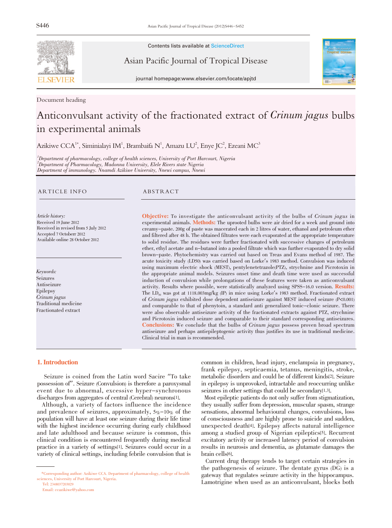

Contents lists available at ScienceDirect

Asian Pacific Journal of Tropical Disease



journal homepage:www.elsevier.com/locate/apjtd

Document heading

# Anticonvulsant activity of the fractionated extract of Crinum jagus bulbs in experimental animals

Azikiwe CCA<sup>1\*</sup>, Siminialayi IM<sup>1</sup>, Brambaifa N<sup>1</sup>, Amazu LU<sup>2</sup>, Enye JC<sup>2</sup>, Ezeani MC<sup>3</sup>

 ${}^{1}$ Department of pharmacology, college of health sciences, University of Port Harcourt, Nigeria  ${}^{2}$ Department of Pharmacology, Madonna University, Elele Rivers state Nigeria Department of immunology. Nnamdi Azikiwe University, Nnewi campus, Nnewi

#### ARTICLE INFO ABSTRACT

Article history: Received 19 June 2012 Received in revised from 5 July 2012 Accepted 7 Octoberr 2012 Available online 28 October 2012

Keywords: Seizures Antiseizure Epilepsy Crinum jagus Traditional medicine Fractionated extract

Objective: To investigate the anticonvulsant activity of the bulbs of Crinum jagus in experimental animals. Methods: The uprooted bulbs were air dried for a week and ground into creamy-paste. 200g of paste was macerated each in 2 litres of water, ethanol and petroleum ether and filtered after 48 h. The obtained filtrates were each evaporated at the appropriate temperature to solid residue. The residues were further fractionated with successive changes of petroleum ether, ethyl acetate and n-butanol into a pooled filtrate which was further evaporated to dry solid brown-paste. Phytochemistry was carried out based on Treas and Evans method of 1987. The acute toxicity study (LD50) was carried based on Lorke's <sup>1983</sup> method. Convulsion was induced using maximum electric shock (MEST), pentylenetetrazole(PTZ), strychnine and Picrotoxin in the appropriate animal models. Seizures onset time and death time were used as successful induction of convulsion while prolongations of these features were taken as anticonvulsant activity. Results where possible, were statistically analyzed using SPSS-16.0 version. Results: The LD<sub>50</sub> was got at 1118.003mg/kg (IP) in mice using Lorke's 1983 method. Fractionated extract of Crinum jagus exhibited dose dependent antiseizure against MEST induced seizure (P<0.001) and comparable to that of phenytoin, a standard anti generalized tonic-clonic seizure. There were also observable antiseizure activity of the fractionated extracts against PTZ, strychnine and Picrotoxin induced seizure and comparable to their standard corresponding antiseizures. **Conclusions:** We conclude that the bulbs of *Crinum jagus* possess proven broad spectrum antiseizure and perhaps antiepileptogenic activity thus justifies its use in traditional medicine. Clinical trial in man is recommended.

# 1. Introduction

Seizure is coined from the Latin word Sacire "To take possession of". Seizure (Convulsion) is therefore a paroxysmal event due to abnormal, excessive hyper-synchronous discharges from aggregates of central (Cerebral) neurons<sup>[1]</sup>.

Although, a variety of factors influence the incidence and prevalence of seizures, approximately, 5%-10% of the population will have at least one seizure during their life time with the highest incidence occurring during early childhood and late adulthood and because seizure is common, this clinical condition is encountered frequently during medical practice in a variety of settings[1]. Seizures could occur in a variety of clinical settings, including febrile convulsion that is

common in children, head injury, enclampsia in pregnancy, frank epilepsy, septicaemia, tetanus, meningitis, stroke, metabolic disorders and could be of different kinds[2]. Seizure in epilepsy is unprovoked, intractable and reoccurring unlike seizures in other settings that could be secondary<sup>[1,3]</sup>.

Most epileptic patients do not only suffer from stigmatization, they usually suffer from depression, muscular spasm, strange sensations, abnormal behavioural changes, convulsions, loss of consciousness and are highly prone to suicide and sudden, unexpected death[4]. Epilepsy affects natural intelligence among a studied group of Nigerian epileptics[5]. Recurrent excitatory activity or increased latency period of convulsion results in neurosis and dementia, as glutamate damages the brain cells[6].

Current drug therapy tends to target certain strategies in the pathogenesis of seizure. The dentate gyrus (DG) is a gateway that regulates seizure activity in the hippocampus. Lamotrigine when used as an anticonvulsant, blocks both

<sup>\*</sup>Corresponding author: Azikiwe CCA. Department of pharmacology, college of health sciences, University of Port Harcourt, Nigeria.

Tel: 2348037203029

Email: ccazikiwe@yahoo.com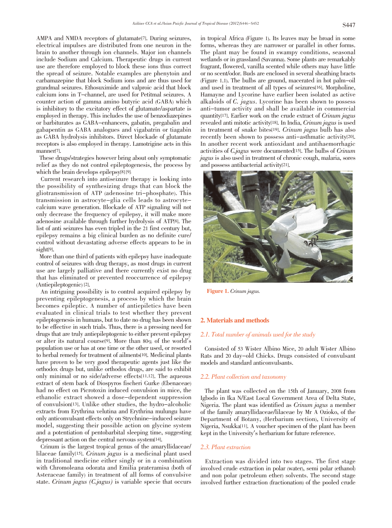AMPA and NMDA receptors of glutamate<sup>[7]</sup>. During seizures, electrical impulses are distributed from one neuron in the brain to another through ion channels. Major ion channels include Sodium and Calcium. Therapeutic drugs in current use are therefore employed to block these ions thus correct the spread of seizure. Notable examples are phenytoin and carbamazepine that block Sodium ions and are thus used for grandmal seizures. Ethosuximide and valproic acid that block calcium ions in T-channel, are used for Petitmal seizures. A counter action of gamma amino butyric acid (GABA) which is inhibitory to the excitatory effect of glutamate/aspartate is employed in therapy. This includes the use of benzodiazepines or barbiturates as GABA-enhancers, gabatin, pregabalin and gabapentin as GABA analogues and vigabatrin or tiagabin as GABA hydrolysis inhibitors. Direct blockade of glutamate receptors is also employed in therapy. Lamotrigine acts in this manner[7].

These drugs/strategies however bring about only symptomatic relief as they do not control epileptogenesis, the process by which the brain develops epilepsy[8] [9].

Current research into antiseizure therapy is looking into the possibility of synthesizing drugs that can block the gliotransmission of ATP (adenosine tri-phosphate). This transmission in astrocyte-glia cells leads to astrocytecalcium wave generation. Blockade of ATP signaling will not only decrease the frequency of epilepsy, it will make more adenosine available through further hydrolysis of ATP[8]. The list of anti seizures has even tripled in the 21 first century but, epilepsy remains a big clinical burden as no definite cure/ control without devastating adverse effects appears to be in sight[9].

More than one third of patients with epilepsy have inadequate control of seizures with drug therapy, as most drugs in current use are largely palliative and there currently exist no drug that has eliminated or prevented reoccurrence of epilepsy (Antiepileptogenic) [2].

An intriguing possibility is to control acquired epilepsy by preventing epileptogenesis, a process by which the brain becomes epileptic. A number of antiepiletics have been evaluated in clinical trials to test whether they prevent epileptogenesis in humans, but to date no drug has been shown to be effective in such trials. Thus, there is a pressing need for drugs that are truly antiepileptogenic to either prevent epilepsy or alter its natural course[9]. More than 80% of the world's population use or has at one time or the other used, or resorted to herbal remedy for treatment of ailments[10]. Medicinal plants have proven to be very good therapeutic agents just like the orthodox drugs but, unlike orthodox drugs, are said to exhibit only minimal or no side/adverse effects[11,12]. The aqueous extract of stem back of Diospyros fischeri Gurke (Ebenaceae) had no effect on Picrotoxin induced convulsion in mice, the ethanolic extract showed a dose-dependent suppression of convulsion[13]. Unlike other studies, the hydro-alcoholic extracts from Erythrina velutina and Erythrina mulungu have only anticonvulsant effects only on Strychnine-induced seizure model, suggesting their possible action on glycine system and a potentiation of pentobarbital sleeping time, suggesting depressant action on the central nervous system[14].

Crinum is the largest tropical genus of the amaryllidaceae/ lilaceae family[15]. Crinum jagus is a medicinal plant used in traditional medicine either singly or in a combination with Chromoleana odorata and Emilia prateramisa (both of Asteraceae family) in treatment of all forms of convulsive state. Crinum jagus  $(C$ *jagus*) is variable specie that occurs

in tropical Africa (Figure 1). Its leaves may be broad in some forms, whereas they are narrower or parallel in other forms. The plant may be found in swampy conditions, seasonal wetlands or in grassland (Savanna). Some plants are remarkably fragrant, flowered, vanilla scented while others may have little or no scent/odor. Buds are enclosed in several sheathing bracts (Figure 1.1). The bulbs are ground, macerated in hot palm-oil and used in treatment of all types of seizures[16]. Morpholine, Hamayne and Lycorine have earlier been isolated as active alkaloids of C. jagus. Lycorine has been shown to possess anti-tumor activity and shall be available in commercial quantity[17]. Earlier work on the crude extract of Crinum jagus revealed anti mitotic activity[18]. In India, Crinum jagus is used in treatment of snake bites[19]. Crinum jagus bulb has also recently been shown to possess anti-asthmatic activity<sup>[20]</sup>. In another recent work antioxidant and antihaemorrhagic activities of C.jagus were documented[15]. The bulbs of Crinum jagus is also used in treatment of chronic cough, malaria, sores and possess antibacterial activity[21].



Figure 1. Crinum jagus.

# 2. Materials and methods

#### 2.1. Total number of animals used for the study

Consisted of 53 Wister Albino Mice, 20 adult Wister Albino Rats and 20 day-old Chicks. Drugs consisted of convulsant models and standard anticonvulsants.

# 2.2. Plant collection and taxonomy

The plant was collected on the 15th of January, 2008 from Igbodo in Ika N/East Local Government Area of Delta State, Nigeria. The plant was identified as Crinum jagus a member of the family amaryllidaceae/lilaceae by Mr A Ozioko, of the Department of Botany, (Herbarium section), University of Nigeria, Nsukka[11]. A voucher specimen of the plant has been kept in the University's herbarium for future reference.

#### 2.3. Plant extraction

Extraction was divided into two stages. The first stage involved crude extraction in polar (water), semi polar (ethanol) and non polar (petroleum ether) solvents. The second stage involved further extraction (fractionation) of the pooled crude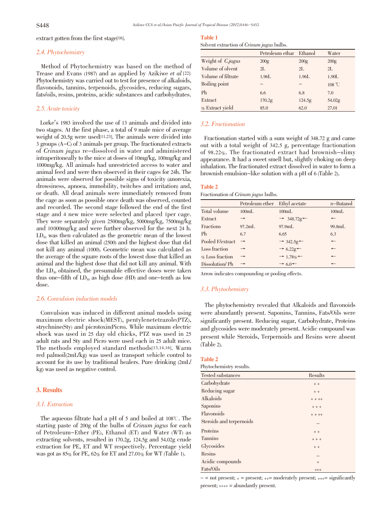extract gotten from the first stage[16].

# 2.4. Phytochemistry

Method of Phytochemistry was based on the method of Trease and Evans (1987) and as applied by Azikiwe et al [22]. Phytochemistry was carried out to test for presence of alkaloids, flavonoids, tannins, terpenoids, glycosides, reducing sugars, fats/oils, resins, proteins, acidic substances and carbohydrates.

# 2.5. Acute toxicity

Lorke's <sup>1983</sup> involved the use of <sup>13</sup> animals and divided into two stages. At the first phase, a total of 9 male mice of average weight of 20.5g were used[11,23]. The animals were divided into 3 groups (A-C) of 3 animals per group. The fractionated extracts of Crinum jagus re-dissolved in water and administered intraperitoneally to the mice at doses of 10mg/kg, 100mg/kg and 1000mg/kg. All animals had unrestricted access to water and animal feed and were then observed in their cages for 24h. The animals were observed for possible signs of toxicity (anorexia, drowsiness, apnoea, immobility, twitches and irritation) and, or death. All dead animals were immediately removed from the cage as soon as possible once death was observed, counted and recorded. The second stage followed the end of the first stage and 4 new mice were selected and placed 1per cage. They were separately given 2500mg/kg, 5000mg/kg, 7500mg/kg and 10000mg/kg and were further observed for the next 24 h.  $LD_{50}$  was then calculated as the geometric mean of the lowest dose that killed an animal (2500) and the highest dose that did not kill any animal (1000). Geometric mean was calculated as the average of the square roots of the lowest dose that killed an animal and the highest dose that did not kill any animal. With the  $LD_{50}$  obtained, the presumable effective doses were taken thus one-fifth of  $LD_{50}$  as high dose (HD) and one-tenth as low dose.

#### 2.6. Convulsion induction models

Convulsion was induced in different animal models using maximum electric shock(MEST), pentylenetetrazole(PTZ), strychnine(Sty) and picrotoxin(Picro). While maximum electric shock was used in 25 day old chicks, PTZ was used in 25 adult rats and Sty and Picro were used each in 25 adult mice. The methods employed standard methods[13,14,16]. Warm red palmoil(2mL/kg) was used as transport vehicle control to account for its use by traditional healers. Pure drinking (2mL/ kg) was used as negative control.

#### 3. Results

#### 3.1. Extraction

The aqueous filtrate had a pH of 5 and boiled at  $108^{\circ}$ . The starting paste of 200g of the bulbs of Crinum jagus for each of Petroleum-Ether (PE), Ethanol (ET) and Water (WT) as extracting solvents, resulted in 170.2g, 124.5g and 54.02g crude extraction for PE, ET and WT respectively. Percentage yield was got as  $85\%$  for PE,  $62\%$  for ET and  $27.01\%$  for WT (Table 1).

#### Table 1

Solvent extraction of Crinum jagus bulbs.

|                          | Petroleum ethar Ethanol |                  | Water  |
|--------------------------|-------------------------|------------------|--------|
| Weight of <i>C.jagus</i> | 200g                    | 200 <sub>g</sub> | 200g   |
| Volume of olvent         | 2L                      | 2L               | 2L     |
| Volume of filtrate       | 1.96L                   | 1.96L            | 1.90L  |
| Boiling point            |                         |                  | 108 °C |
| Ph                       | 6.6                     | 6.8              | 7.0    |
| Extract                  | 170.2g                  | 124.5g           | 54.02g |
| $%$ Extract yield        | 85.0                    | 62.0             | 27.01  |

# 3.2. Fractionation

Fractionation started with a sum weight of 348.72 g and came out with a total weight of 342.5 g, percentage fractionation of 98.22%. The fractionated extract had brownish-slimy appearance. It had a sweet smell but, slightly choking on deep inhalation. The fractionated extract dissolved in water to form a brownish emulsion-like solution with a pH of 6 (Table 2).

#### Table 2

Fractionation of Crinum jagus bulbs.

|                   | Petroleum ether Ethyl acetate |                                    | $n$ -Butanol |
|-------------------|-------------------------------|------------------------------------|--------------|
| Total volume      | 100mL                         | 100mL                              | 100mL        |
| Extract           |                               | $\rightarrow$ 348.72g $\leftarrow$ |              |
| Fractions         | 97.2mL                        | 97.9mL                             | 99.8mL       |
| Ph                | 6.7                           | 6.65                               | 6.3          |
| Pooled F/extract  | $\rightarrow$                 | $\rightarrow$ 342.5g $\leftarrow$  | $\leftarrow$ |
| Loss fraction     | $\rightarrow$                 | $\rightarrow$ 6.22g $\leftarrow$   | $\leftarrow$ |
| $%$ Loss fraction | $\rightarrow$                 | $\rightarrow$ 1.78% $\leftarrow$   | $\leftarrow$ |
| Dissolution/Ph    | $\rightarrow$                 | $\rightarrow 6.0$                  | $\leftarrow$ |

Arrow indicates compounding or pooling effects.

# 3.3. Phytochemistry

The phytochemistry revealed that Alkaloids and flavonoids were abundantly present. Saponins, Tannins, Fats/Oils were significantly present. Reducing sugar, Carbohydrate, Proteins and glycosides were moderately present. Acidic compound was present while Steroids, Terpernoids and Resins were absent (Table 2).

### Table 2

|  | Phytochemistry results. |  |  |
|--|-------------------------|--|--|
|--|-------------------------|--|--|

| .<br>Tested substances   | Results   |
|--------------------------|-----------|
| Carbohydrate             | $+ +$     |
| Reducing sugar           | $+ +$     |
| Alkaloids                | $+ + + +$ |
| Saponins                 | $++ +$    |
| Flavonoids               | $+ + + +$ |
| Steroids and terpernoids |           |
| Proteins                 | $+ +$     |
| <b>Tannins</b>           | $+ + +$   |
| Glycosides               | $+ +$     |
| Resins                   |           |
| Acidic compounds         | $+$       |
| Fats/Oils                | $^{+++}$  |

 $-$  = not present;  $+$  = present;  $+$  = moderately present;  $++$  = significantly  $present; **+++** = abundantly present.$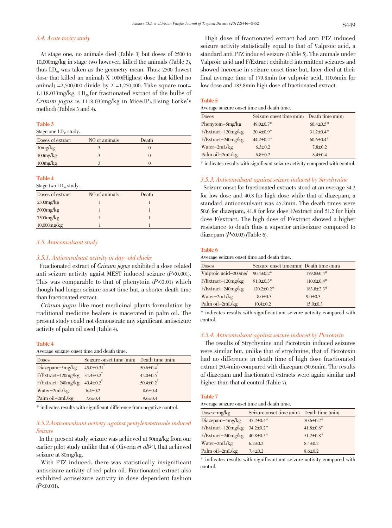# 3.4. Acute toxity study

At stage one, no animals died (Table 3) but doses of 2500 to 10,000mg/kg in stage two however, killed the animals (Table 3), thus  $LD_{50}$  was taken as the geometry mean. Thus: 2500 (lowest dose that killed an animal) X 1000(Highest dose that killed no animal)  $=2,500,000$  divide by  $2 = 1,250,000$ . Take square root= 1,118.033mg/kg.  $LD_{so}$  for fractionated extract of the bulbs of Crinum jagus is 1118.033mg/kg in Mice(IP).(Using Lorke's method) (Tables 3 and 4).

#### Table 3

# Stage one LD<sub>study</sub>

| Doses of extract | NO of animals | Death |  |
|------------------|---------------|-------|--|
| 10mg/kg          |               |       |  |
| 100mg/kg         |               |       |  |
| $100$ mg/ $kg$   |               |       |  |

### Table 4

| Stage two $LD_{50}$ study. |               |       |  |
|----------------------------|---------------|-------|--|
| Doses of extract           | NO of animals | Death |  |
| $2500$ mg/ $kg$            |               |       |  |
| 5000mg/kg                  |               |       |  |
| 7500mg/kg                  |               |       |  |
| $10,000$ mg/ $kg$          |               |       |  |

# 3.5. Anticonvulsant study

#### 3.5.1. Anticonvulsant activity in day-old chicks

Fractionated extract of Crinum jegus exhibited a dose related anti seizure activity agaist MEST induced seizure (P<0.001). This was comparable to that of phenytoin  $(P<0.01)$  which though had longer seizure onset time but, a shorter death time than fractionated extract.

Crinum jagus like most medicinal plants formulation by traditional medicine healers is macerated in palm oil. The present study could not demonstrate any significant antiseizure activity of palm oil used (Table 4).

#### Table 4

| Average seizure onset time and death time. |
|--------------------------------------------|
|--------------------------------------------|

| <b>Doses</b>         | Seizure onset time (min)    | Death time (min) |
|----------------------|-----------------------------|------------------|
| Diazepam $-5mg/kg$   | $45.0 \pm 0.31$             | $50.6 \pm 0.4$   |
| $F/Extract-120mg/kg$ | $34.4 \pm 0.2$              | $42.0 \pm 0.5$   |
| F/Extract-240mg/kg   | $40.4 \pm 0.2$ <sup>*</sup> | $50.4 \pm 0.2$   |
| $Water-2mL/kg$       | $6.4 \pm 0.2$               | $8.6 \pm 0.4$    |
| Palm oil-2mL/kg      | $7.6 \pm 0.4$               | $9.6 \pm 0.4$    |

\* indicates results with significant difference from negative control.

# 3.5.2.Anticonvulsant activity against pentylenetetrazole induced Seizure

In the present study seizure was achieved at 90mg/kg from our earlier pilot study unlike that of Oliveria et al<sup>[24]</sup>, that achieved seizure at 80mg/kg.

With PTZ induced, there was statistically insignificant antiseizure activity of red palm oil. Fractionated extract also exhibited actiseizure activity in dose dependent fashion  $(P<0.001)$ .

High dose of fractionated extract had anti PTZ induced seizure activity statistically equal to that of Valproic acid, a standard anti PTZ induced seizure (Table 5). The animals under Valproic acid and F/Extract exhibited intermittent seizures and showed increase in seizure onset time but, later died at their final average time of 179.8min for valproic acid, 110.6min for low dose and 183.8min high dose of fractionated extract.

#### Table 5

Average seizure onset time and death time.

| <b>Doses</b>         | Seizure onset time (min) Death time (min) |                  |
|----------------------|-------------------------------------------|------------------|
| Phenytoin- $5mg/kg$  | $49.0 \pm 0.7$ *                          | $60.4 \pm 0.5^*$ |
| $F/Extract-120mg/kg$ | $20.4 \pm 0.9$ *                          | $31.2 \pm 0.4*$  |
| $F/Extract-240mg/kg$ | $44.2 \pm 0.2^*$                          | $60.6 \pm 0.4*$  |
| Water-2mL/kg         | $6.3 \pm 0.2$                             | $7.8 \pm 0.2$    |
| Palm oil-2mL/kg      | $6.8 \pm 0.2$                             | $8.4 \pm 0.4$    |

\* indicates results with significant seizure activity compared with control.

# 3.5.3. Anticonvulsant against seizure induced by Strychynine

Seizure onset for fractionated extracts stood at an everage 34.2 for low dose and 40.8 for high dose while that of diazepam, a standard anticonvulsant was 45.2min. The death times were 50.6 for diazepam, 41.8 for low dose F/extract and 51.2 for high dose F/extract. The high dose of F/extract showed a higher resistance to death thus a superior antiseizure compared to diazepam  $(P<0.03)$  (Table 6).

#### Table 6

Average seizure onset time and death time.

| <b>Doses</b>         | Seizure onset time(min) Death time (min) |                   |
|----------------------|------------------------------------------|-------------------|
| Valproic acid-200mg/ | $90.4 \pm 0.2^*$                         | $179.8 \pm 0.4*$  |
| $F/Extract-120mg/kg$ | $91.0 \pm 0.3$ *                         | $110.6 \pm 0.4*$  |
| F/Extract-240mg/kg   | $120.2 \pm 0.2^*$                        | $183.8 \pm 2.3^*$ |
| $Water-2mL/kg$       | $8.0 \pm 0.3$                            | $9.0 \pm 0.3$     |
| Palm oil-2mL/kg      | $10.4 \pm 0.2$                           | $15.0 \pm 0.3$    |

\* indicates results with significant ant seizure activity compared with control.

# 3.5.4. Anticonvulsant against seizure induced by Picrotoxin

The results of Strychynine and Picrotoxin induced seizures were similar but, unlike that of strychnine, that of Picrotoxin had no difference in death time of high dose fractionated extract (50.4min) compared with diazepam (50.6min). The results of diazepam and fractionated extracts were again similar and higher than that of control (Table 7).

| <b>Table 7</b>                             |  |
|--------------------------------------------|--|
| Average seizure onset time and death time. |  |

| Doses- $mg/kg$       | Seizure onset time (min) Death time (min) |                  |
|----------------------|-------------------------------------------|------------------|
| Diazepam $-5mg/kg$   | $45.2 \pm 0.4^*$                          | $50.6 \pm 0.2$ * |
| $F/Extract-120mg/kg$ | $34.2 \pm 0.2^*$                          | $41.8 \pm 0.6^*$ |
| $F/Extract-240mg/kg$ | $40.8 \pm 0.5^*$                          | $51.2 \pm 0.8$ * |
| Water-2mL/kg         | $6.2 \pm 0.2$                             | $8.4 \pm 0.2$    |
| Palm oil-2mL/kg      | $7.4 \pm 0.2$                             | $8.6 \pm 0.2$    |

\* indicates results with significant ant seizure activity compared with control.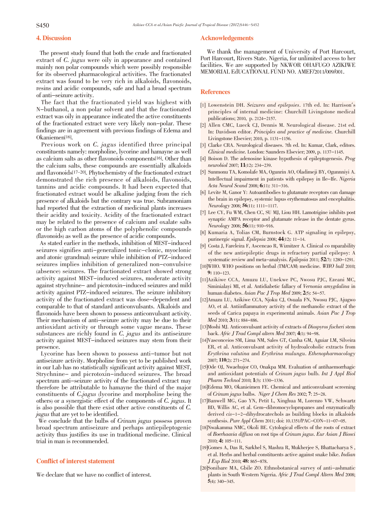#### 4. Discussion

The present study found that both the crude and fractionated extract of C. jugus were oily in appearance and contained mainly non polar compounds which were possibly responsible for its observed pharmacological activities. The fractionated extract was found to be very rich in alkaloids, flavonoids, resins and acidic compounds, safe and had a broad spectrum of anti-seizure activity.

The fact that the fractionated yield was highest with N-buthanol, a non polar solvent and that the fractionated extract was oily in appearance indicated the active constituents of the fractionated extract were very likely non-polar. These findings are in agreement with previous findings of Edema and Okaniemen[16].

Previous work on C. jagus identified three principal constituents namely: morpholine, lycorine and hamayne as well as calcium salts as other flavonoids components[16]. Other than the calcium salts, these compounds are essentially alkaloids and flavonoids[17-20]. Phytochemistry of the fractionated extract demonstrated the rich presence of alkaloids, flavonoids, tannins and acidic compounds. It had been expected that fractionated extract would be alkaline judging from the rich presence of alkaloids but the contrary was true. Subramoniam had reported that the extraction of medicinal plants increases their acidity and toxicity. Acidity of the fractionated extract may be related to the presence of calcium and oxalate salts or the high carbon atoms of the polyphenolic compounds (flavonoids) as well as the presence of acidic compounds.

As stated earlier in the methods, inhibition of MEST-induced seizures signifies anti-generalized tonic-clonic, myoclonic and atonic (grandmal) seizure while inhibition of PTZ-induced seizures implies inhibition of generalized non-convulsive (absence) seizures. The fractionated extract showed strong activity against MEST-induced seizures, moderate activity against strychnine- and picrotoxin-induced seizures and mild activity against PTZ-induced seizures. The seizure inhibitory activity of the fractionated extract was dose-dependent and comparable to that of standard anticonvulsants. Alkaloids and Their mechanism of anti-seizure activity may be due to their antioxidant activity or through some vague means. These substances are richly found in C. jagus and its antiseizure activity against MEST-induced seizures may stem from their presence.

Lycorine has been shown to possess anti-tumor but not antiseizure activity. Morpholine from yet to be published work in our Lab has no statistically significant activity against MEST, Strychnine- and picrotoxin-induced seizures. The broad spectrum anti-seizure activity of the fractionated extract may therefore be attributable to hamayne the third of the major constituents of C.jagus (lycorine and morpholine being the others) or a synergistic effect of the components of C. jagus. It is also possible that there exist other active constituents of C. jagus that are yet to be identified.

We conclude that the bulbs of *Crinum jagus* possess proven broad spectrum antiseizure and perhaps antiepileptogenic activity thus justifies its use in traditional medicine. Clinical trial in man is recommended.

# Conflict of interest statement

We declare that we have no conflict of interest.

#### Acknowledgements

We thank the management of University of Port Harcourt, Port Harcourt, Rivers State. Nigeria, for unlimited access to her facilities. We are supported by NKWOR OHAFUGO AZIKIWE MEMORIAL EdUCATIONAL FUND NO. AMEF/2011/009/001.

# **References**

- [1] Lowenstein DH. Seizures and epilepsies. 17th ed. In: Harrison's principles of internal medicine: Churchill Livingstone medical publications; 2010, p. 2124-2157.
- [2] Allen CMC, Lueck CJ, Dennis M. Neurological disease. 21st ed. In: Davidson editor. Principles and practice of medicine. Churchill Livingstone Elsevier; 2010, p. 1131-1156.
- [3] Clarke CRA. Neurological diseases. 7th ed. In: Kumar, Clark, editors. Clinical medicine. London: Saunders Elsevier; 2009, p. 1137-1145.
- [4] Boison D. The adenosine kinase hypothesis of epileptogenesis. Prog neurobiol 2007; 11(12): 234-239.
- [5] Sunmonu TA, Komolafe MA, Ogunrin AO, Oladimeji BY, Ogunnniyi A. Intellectual impairment in patients with epilepsy in Ile-Ife. Nigeria Acta Neurol Scand 2008; 6(11): 311-316.
- [6] Levite M, Ganor Y: Autoantibodies to glutamate receptors can damage the brain in epilepsy, systemic lupus erythematosus and encephalitis. Neurology 2008; 56(11): 1111-1117.
- [7] Lee CY, Fu WM, Chen CC, SU MJ, Liou HH. Lamotrigine inhibits post synaptic AMPA receptor and glutamate release in the dentate gyrus. Neurology 2008; 56(11): 910-916.
- [8] Kumaria A, Tolias CM, Burnstock G. ATP signaling in epilepsy, purinergic signal. Epilepsia 2008; 44(12): 11-14.
- [9] Costa J, Fareleira F, Ascencao R, Wiznitzer A. Clinical co mparability of the new antiepileptic drugs in refractory partial epilepsy: A systematic review and meta-analysis. Epilepsia 2011; 52(7): 1280-1291.
- [10]WHO. WHO positions on herbal (TM/CAM) medicine. WHO bull 2010; 9: 110-123.
- [11]Azikiwe CCA, Amuzu LU, Unekwe PC, Nwosu PJC, Ezeani MC, Siminialayi MI, et al. Antidiabetic fallacy of Vernonia amygdalina in human diabetes. Asian Pac J Trop Med 2009; 2(5): 54-57.
- [12]Amazu LU, Azikiwe CCA, Njoku CJ, Osuala FN, Nwosu PJC, Ajugwo AO, et al. Antiinflammatory activity of the methanolic extract of the seeds of Carica papaya in experimental animals. Asian Pac J Trop Med 2010; 3(11): 884-886.
- [13]Moshi MJ. Anticonvulsant activity of extracts of Diospyros fischeri stem back. Afric J Trad Compl altern Med 2007; 4(1): 94-98.
- [14]Vasconceios SM, Lima NM, Sales GT, Cunha GM, Aguiar LM, Silveira ER, et al. Anticonvulsant activity of hydroalcoholic extracts from Erythrina valutina and Erythrina mulungu. Ethenopharmacology 2007; 110(2): 271-274.
- [15]Ode OJ, Nwaehujor CO, Onakpa MM. Evaluation of antihaemorrhagic and antioxidant potentials of Crinum jagus bulb. Int J Appl Biol Pharm Technol 2010; 1(3): 1330-1336.
- [16]Edema MO, Okanieimen FE. Chemical and anticonvulsant screening of Crinum jagus bulbs. Niger J Chem Res 2002; 7: 25-28.
- [17]Banwell MG, Gao YN, Petit L, Xinghua M, Lorenzo VW, Schwartz BD, Willis AC, et al. Gem-dibromocyclopropanes and enzymatically derived cis-1-2-dihydrocatechols as building blocks in alkaloids synthesis. Pure Appl Chem 2011; doi: 10.1351/PAC-CON-11-07-05.
- [18]Nwakamma NMC, Okoli BE. Cytological effects of the roots of extract of Boerhaavia diffusa on root tips of Crinum jagus. Eur Asian J Biosci 2010; 4: 105-111.
- [19]Gomes A, Das R, Sarkhel S, Mashra R, Mukherjee S, Bhattacharya S , et al. Herbs and herbal constituents active against snake bike. Indian J Exp Biol 2010; 48: 865-878.
- [20]Sonibare MA, Gbile ZO. Ethnobotanical survey of anti-ashmatic plants in South Western Nigeria. Afric J Trad Compl Altern Med 2008; 5(4): 340-345.